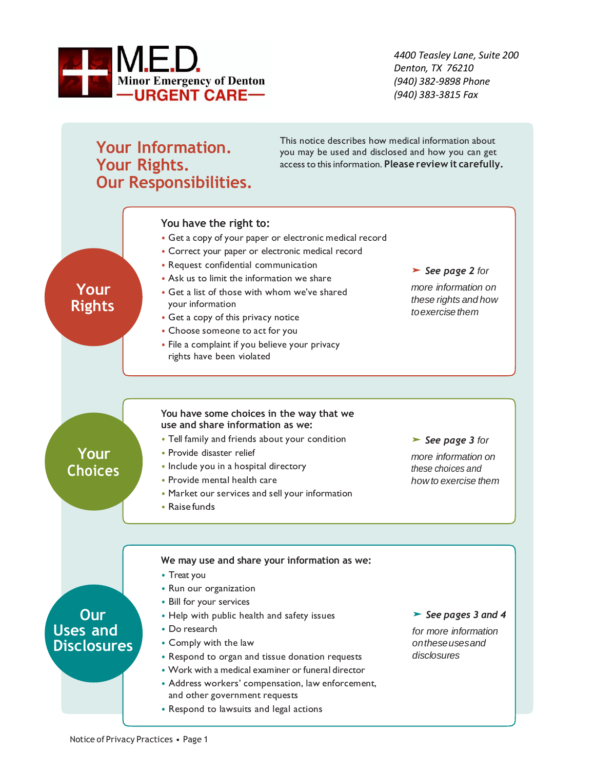

*4400 Teasley Lane, Suite 200 Denton, TX 76210 (940) 382-9898 Phone (940) 383-3815 Fax*

#### **Your Information. Your Rights. Our Responsibilities.** This notice describes how medical information about you may be used and disclosed and how you can get accessto thisinformation. **Please review it carefully. Your Rights You have the right to:** • Get a copy of your paper or electronic medical record • Correct your paper or electronic medical record • Request confidential communication • Ask us to limit the information we share • Get a list of those with whom we've shared your information • Get a copy of this privacy notice • Choose someone to act for you • File a complaint if you believe your privacy rights have been violated ➤ *See page 2 for more information on these rights and how toexercisethem* **Your Choices You have some choices in the way that we use and share information as we:** • Tell family and friends about your condition • Provide disaster relief • Include you in a hospital directory • Provide mental health care • Market our services and sell your information • Raisefunds ➤ *See page 3 for more information on these choices and howto exercise them* **Our Uses and We may use and share your information as we:** • Treat you • Run our organization • Bill for your services • Help with public health and safety issues • Do research

# **Disclosures**

- Respond to organ and tissue donation requests
- Work with a medical examiner or funeral director
- Address workers' compensation, law enforcement, and other government requests
- Respond to lawsuits and legal actions

• Comply with the law

## ➤ *See pages 3 and 4*

*for more information ontheseusesand disclosures*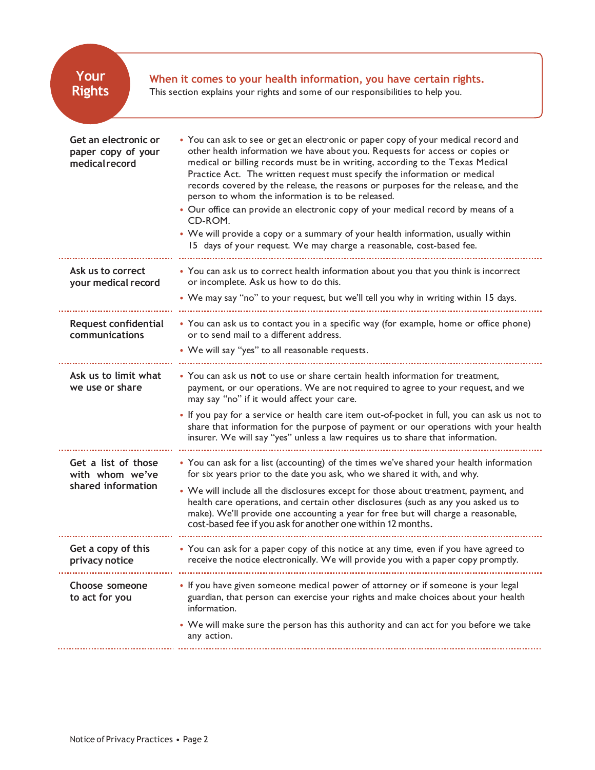| Your          |  |
|---------------|--|
| <b>Rights</b> |  |

**When it comes to your health information, you have certain rights.**

This section explains your rights and some of our responsibilities to help you.

| Get an electronic or<br>paper copy of your<br>medical record | • You can ask to see or get an electronic or paper copy of your medical record and<br>other health information we have about you. Requests for access or copies or<br>medical or billing records must be in writing, according to the Texas Medical<br>Practice Act. The written request must specify the information or medical<br>records covered by the release, the reasons or purposes for the release, and the<br>person to whom the information is to be released.<br>• Our office can provide an electronic copy of your medical record by means of a<br>CD-ROM.<br>• We will provide a copy or a summary of your health information, usually within<br>15 days of your request. We may charge a reasonable, cost-based fee. |
|--------------------------------------------------------------|--------------------------------------------------------------------------------------------------------------------------------------------------------------------------------------------------------------------------------------------------------------------------------------------------------------------------------------------------------------------------------------------------------------------------------------------------------------------------------------------------------------------------------------------------------------------------------------------------------------------------------------------------------------------------------------------------------------------------------------|
| Ask us to correct<br>your medical record                     | • You can ask us to correct health information about you that you think is incorrect<br>or incomplete. Ask us how to do this.<br>• We may say "no" to your request, but we'll tell you why in writing within 15 days.                                                                                                                                                                                                                                                                                                                                                                                                                                                                                                                |
| Request confidential<br>communications                       | • You can ask us to contact you in a specific way (for example, home or office phone)<br>or to send mail to a different address.<br>• We will say "yes" to all reasonable requests.                                                                                                                                                                                                                                                                                                                                                                                                                                                                                                                                                  |
| Ask us to limit what<br>we use or share                      | • You can ask us not to use or share certain health information for treatment,<br>payment, or our operations. We are not required to agree to your request, and we<br>may say "no" if it would affect your care.<br>• If you pay for a service or health care item out-of-pocket in full, you can ask us not to<br>share that information for the purpose of payment or our operations with your health<br>insurer. We will say "yes" unless a law requires us to share that information.                                                                                                                                                                                                                                            |
| Get a list of those<br>with whom we've<br>shared information | • You can ask for a list (accounting) of the times we've shared your health information<br>for six years prior to the date you ask, who we shared it with, and why.<br>• We will include all the disclosures except for those about treatment, payment, and<br>health care operations, and certain other disclosures (such as any you asked us to<br>make). We'll provide one accounting a year for free but will charge a reasonable,<br>cost-based fee if you ask for another one within 12 months.                                                                                                                                                                                                                                |
| Get a copy of this<br>privacy notice                         | • You can ask for a paper copy of this notice at any time, even if you have agreed to<br>receive the notice electronically. We will provide you with a paper copy promptly.                                                                                                                                                                                                                                                                                                                                                                                                                                                                                                                                                          |
| Choose someone<br>to act for you                             | • If you have given someone medical power of attorney or if someone is your legal<br>guardian, that person can exercise your rights and make choices about your health<br>information.<br>• We will make sure the person has this authority and can act for you before we take<br>any action.                                                                                                                                                                                                                                                                                                                                                                                                                                        |
|                                                              |                                                                                                                                                                                                                                                                                                                                                                                                                                                                                                                                                                                                                                                                                                                                      |

 $\sim 10^7$ 

 $\mathbf{u} = \mathbf{u} \times \mathbf{u}$  ,  $\mathbf{u} = \mathbf{u}$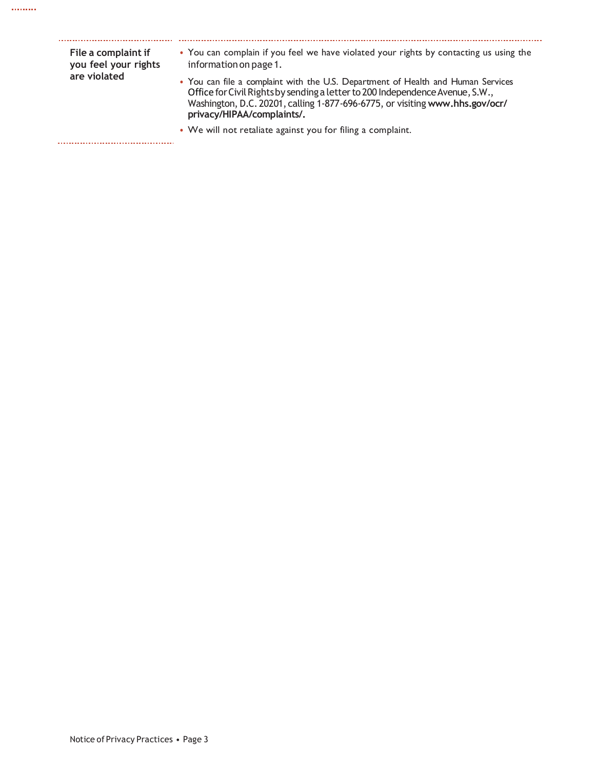| File a complaint if<br>you feel your rights<br>are violated | • You can complain if you feel we have violated your rights by contacting us using the<br>information on page 1.                                                                                                                                                                |
|-------------------------------------------------------------|---------------------------------------------------------------------------------------------------------------------------------------------------------------------------------------------------------------------------------------------------------------------------------|
|                                                             | • You can file a complaint with the U.S. Department of Health and Human Services<br>Office for Civil Rights by sending a letter to 200 Independence Avenue, S.W.,<br>Washington, D.C. 20201, calling 1-877-696-6775, or visiting www.hhs.gov/ocr/<br>privacy/HIPAA/complaints/. |
|                                                             | • We will not retaliate against you for filing a complaint.                                                                                                                                                                                                                     |
|                                                             |                                                                                                                                                                                                                                                                                 |

 $\ldots$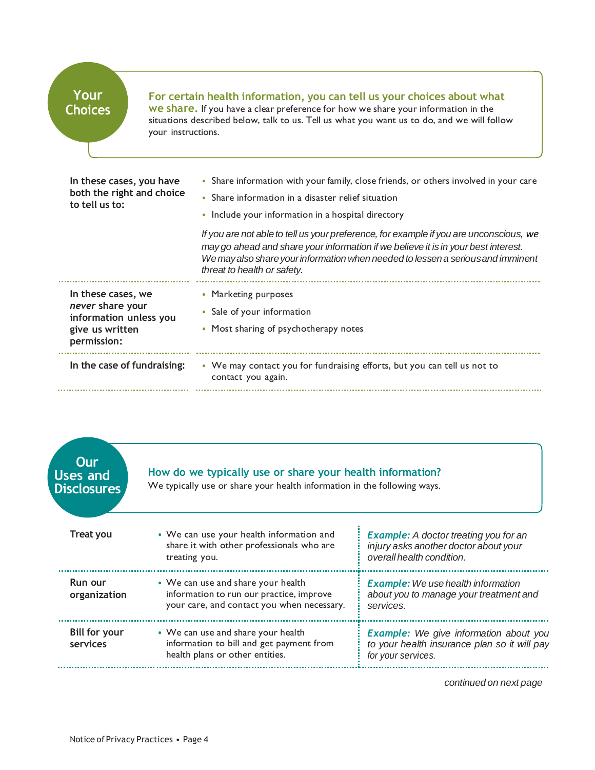| Your<br><b>Choices</b><br>your instructions.                                                       | For certain health information, you can tell us your choices about what<br>we share. If you have a clear preference for how we share your information in the<br>situations described below, talk to us. Tell us what you want us to do, and we will follow                                     |
|----------------------------------------------------------------------------------------------------|------------------------------------------------------------------------------------------------------------------------------------------------------------------------------------------------------------------------------------------------------------------------------------------------|
| In these cases, you have<br>both the right and choice<br>to tell us to:                            | • Share information with your family, close friends, or others involved in your care<br>• Share information in a disaster relief situation<br>• Include your information in a hospital directory                                                                                               |
|                                                                                                    | If you are not able to tell us your preference, for example if you are unconscious, we<br>may go ahead and share your information if we believe it is in your best interest.<br>We may also share your information when needed to lessen a serious and imminent<br>threat to health or safety. |
| In these cases, we<br>never share your<br>information unless you<br>give us written<br>permission: | • Marketing purposes<br>Sale of your information<br>$\bullet$<br>• Most sharing of psychotherapy notes                                                                                                                                                                                         |
| In the case of fundraising:                                                                        | • We may contact you for fundraising efforts, but you can tell us not to<br>contact you again.                                                                                                                                                                                                 |



*continued on next page*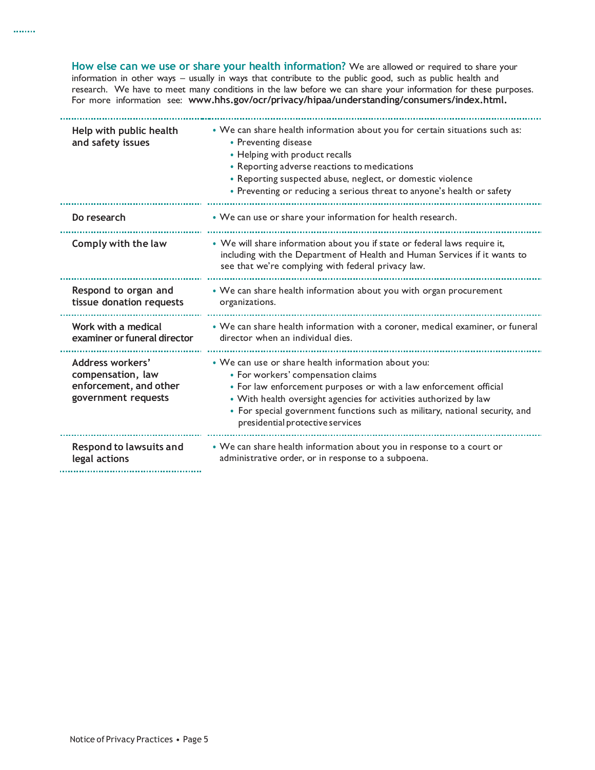**How else can we use or share your health information?** We are allowed or required to share your information in other ways – usually in ways that contribute to the public good, such as public health and research. We have to meet many conditions in the law before we can share your information for these purposes. For more information see: **[www.hhs.gov/ocr/privacy/hipaa/understanding/consumers/index.html](http://www.hhs.gov/ocr/privacy/hipaa/understanding/consumers/index.html).**

| Help with public health<br>and safety issues                                           | • We can share health information about you for certain situations such as:<br>• Preventing disease<br>• Helping with product recalls<br>• Reporting adverse reactions to medications<br>• Reporting suspected abuse, neglect, or domestic violence<br>• Preventing or reducing a serious threat to anyone's health or safety                          |
|----------------------------------------------------------------------------------------|--------------------------------------------------------------------------------------------------------------------------------------------------------------------------------------------------------------------------------------------------------------------------------------------------------------------------------------------------------|
| Do research                                                                            | • We can use or share your information for health research.                                                                                                                                                                                                                                                                                            |
| Comply with the law                                                                    | • We will share information about you if state or federal laws require it,<br>including with the Department of Health and Human Services if it wants to<br>see that we're complying with federal privacy law.                                                                                                                                          |
| Respond to organ and<br>tissue donation requests                                       | • We can share health information about you with organ procurement<br>organizations.                                                                                                                                                                                                                                                                   |
| Work with a medical<br>examiner or funeral director                                    | • We can share health information with a coroner, medical examiner, or funeral<br>director when an individual dies.                                                                                                                                                                                                                                    |
| Address workers'<br>compensation, law<br>enforcement, and other<br>government requests | • We can use or share health information about you:<br>• For workers' compensation claims<br>• For law enforcement purposes or with a law enforcement official<br>• With health oversight agencies for activities authorized by law<br>• For special government functions such as military, national security, and<br>presidential protective services |
| <b>Respond to lawsuits and</b><br>legal actions                                        | • We can share health information about you in response to a court or<br>administrative order, or in response to a subpoena.                                                                                                                                                                                                                           |

. . . . . . . .